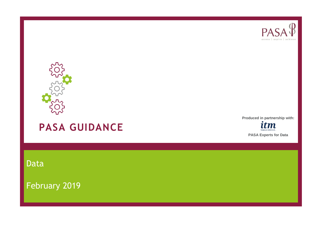



# **PASA GUIDANCE**

**Produced in partnership with:**



Data

February 2019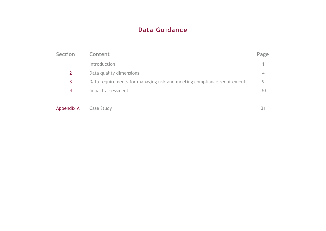## **Data Guidance**

| Section    | Content                                                                 | Page         |
|------------|-------------------------------------------------------------------------|--------------|
|            | Introduction                                                            |              |
|            | Data quality dimensions                                                 | 4            |
| 3          | Data requirements for managing risk and meeting compliance requirements | <sup>Q</sup> |
| 4          | Impact assessment                                                       | 30           |
| Appendix A | Case Study                                                              | 31           |

| Appendix A |  | Case Study |
|------------|--|------------|
|            |  |            |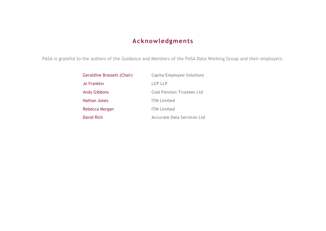## **Acknowledgments**

PASA is grateful to the authors of the Guidance and Members of the PASA Data Working Group and their employers.

| Geraldine Brassett (Chair) | <b>Capita Employee Solutions</b>  |
|----------------------------|-----------------------------------|
| Jo Franklin                | <b>LCP LLP</b>                    |
| <b>Andy Gibbons</b>        | <b>Coal Pension Trustees Ltd</b>  |
| Nathan Jones               | <b>ITM Limited</b>                |
| Rebecca Morgan             | <b>ITM Limited</b>                |
| David Rich                 | <b>Accurate Data Services Ltd</b> |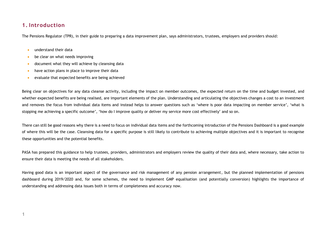## **1. Introduction**

The Pensions Regulator (TPR), in their guide to preparing a data improvement plan, says administrators, trustees, employers and providers should:

- understand their data
- be clear on what needs improving
- document what they will achieve by cleansing data
- have action plans in place to improve their data
- evaluate that expected benefits are being achieved

Being clear on objectives for any data cleanse activity, including the impact on member outcomes, the expected return on the time and budget invested, and whether expected benefits are being realised, are important elements of the plan. Understanding and articulating the objectives changes a cost to an investment and removes the focus from individual data items and instead helps to answer questions such as 'where is poor data impacting on member service', 'what is stopping me achieving a specific outcome', 'how do I improve quality or deliver my service more cost effectively' and so on.

There can still be good reasons why there is a need to focus on individual data items and the forthcoming introduction of the Pensions Dashboard is a good example of where this will be the case. Cleansing data for a specific purpose is still likely to contribute to achieving multiple objectives and it is important to recognise these opportunities and the potential benefits.

PASA has prepared this guidance to help trustees, providers, administrators and employers review the quality of their data and, where necessary, take action to ensure their data is meeting the needs of all stakeholders.

Having good data is an important aspect of the governance and risk management of any pension arrangement, but the planned implementation of pensions dashboard during 2019/2020 and, for some schemes, the need to implement GMP equalisation (and potentially conversion) highlights the importance of understanding and addressing data issues both in terms of completeness and accuracy now.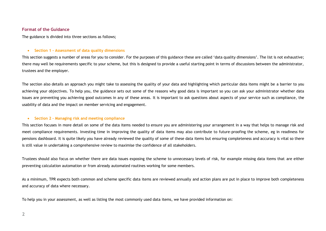#### **Format of the Guidance**

The guidance is divided into three sections as follows;

#### • **Section 1 - Assessment of data quality dimensions**

This section suggests a number of areas for you to consider. For the purposes of this guidance these are called 'data quality dimensions'. The list is not exhaustive; there may well be requirements specific to your scheme, but this is designed to provide a useful starting point in terms of discussions between the administrator, trustees and the employer.

The section also details an approach you might take to assessing the quality of your data and highlighting which particular data items might be a barrier to you achieving your objectives. To help you, the guidance sets out some of the reasons why good data is important so you can ask your administrator whether data issues are preventing you achieving good outcomes in any of these areas. It is important to ask questions about aspects of your service such as compliance, the usability of data and the impact on member servicing and engagement.

#### • **Section 2 – Managing risk and meeting compliance**

This section focuses in more detail on some of the data items needed to ensure you are administering your arrangement in a way that helps to manage risk and meet compliance requirements. Investing time in improving the quality of data items may also contribute to future-proofing the scheme, eg in readiness for pensions dashboard. It is quite likely you have already reviewed the quality of some of these data items but ensuring completeness and accuracy is vital so there is still value in undertaking a comprehensive review to maximise the confidence of all stakeholders.

Trustees should also focus on whether there are data issues exposing the scheme to unnecessary levels of risk, for example missing data items that are either preventing calculation automation or from already automated routines working for some members.

As a minimum, TPR expects both common and scheme specific data items are reviewed annually and action plans are put in place to improve both completeness and accuracy of data where necessary.

To help you in your assessment, as well as listing the most commonly used data items, we have provided information on: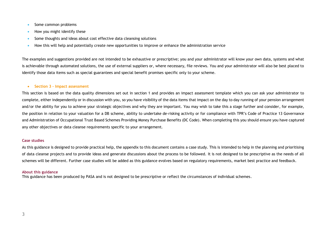- Some common problems
- How you might identify these
- Some thoughts and ideas about cost effective data cleansing solutions
- How this will help and potentially create new opportunities to improve or enhance the administration service

The examples and suggestions provided are not intended to be exhaustive or prescriptive; you and your administrator will know your own data, systems and what is achievable through automated solutions, the use of external suppliers or, where necessary, file reviews. You and your administrator will also be best placed to identify those data items such as special guarantees and special benefit promises specific only to your scheme.

#### • **Section 3 – Impact assessment**

This section is based on the data quality dimensions set out in section 1 and provides an impact assessment template which you can ask your administrator to complete, either independently or in discussion with you, so you have visibility of the data items that impact on the day to day running of your pension arrangement and/or the ability for you to achieve your strategic objectives and why they are important. You may wish to take this a stage further and consider, for example, the position in relation to your valuation for a DB scheme, ability to undertake de-risking activity or for compliance with TPR's Code of Practice 13 Governance and Administration of Occupational Trust Based Schemes Providing Money Purchase Benefits (DC Code). When completing this you should ensure you have captured any other objectives or data cleanse requirements specific to your arrangement.

#### **Case studies**

As this guidance is designed to provide practical help, the appendix to this document contains a case study. This is intended to help in the planning and prioritising of data cleanse projects and to provide ideas and generate discussions about the process to be followed. It is not designed to be prescriptive as the needs of all schemes will be different. Further case studies will be added as this guidance evolves based on regulatory requirements, market best practice and feedback.

#### **About this guidance**

This guidance has been produced by PASA and is not designed to be prescriptive or reflect the circumstances of individual schemes.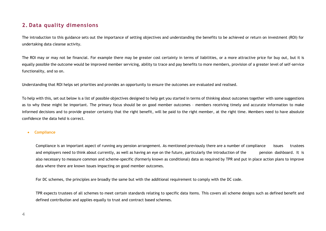### **2. Data quality dimensions**

The introduction to this guidance sets out the importance of setting objectives and understanding the benefits to be achieved or return on investment (ROI) for undertaking data cleanse activity.

The ROI may or may not be financial. For example there may be greater cost certainty in terms of liabilities, or a more attractive price for buy out, but it is equally possible the outcome would be improved member servicing, ability to trace and pay benefits to more members, provision of a greater level of self-service functionality, and so on.

Understanding that ROI helps set priorities and provides an opportunity to ensure the outcomes are evaluated and realised.

To help with this, set out below is a list of possible objectives designed to help get you started in terms of thinking about outcomes together with some suggestions as to why these might be important. The primary focus should be on good member outcomes – members receiving timely and accurate information to make informed decisions and to provide greater certainty that the right benefit, will be paid to the right member, at the right time. Members need to have absolute confidence the data held is correct.

#### • **Compliance**

Compliance is an important aspect of running any pension arrangement. As mentioned previously there are a number of compliance issues trustees and employers need to think about currently, as well as having an eye on the future, particularly the introduction of the pension dashboard. It is also necessary to measure common and scheme-specific (formerly known as conditional) data as required by TPR and put in place action plans to improve data where there are known issues impacting on good member outcomes.

For DC schemes, the principles are broadly the same but with the additional requirement to comply with the DC code.

TPR expects trustees of all schemes to meet certain standards relating to specific data items. This covers all scheme designs such as defined benefit and defined contribution and applies equally to trust and contract based schemes.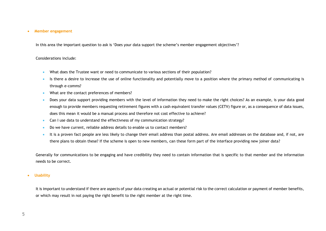#### • **Member engagement**

In this area the important question to ask is 'Does your data support the scheme's member engagement objectives'?

#### Considerations include:

- What does the Trustee want or need to communicate to various sections of their population?
- Is there a desire to increase the use of online functionality and potentially move to a position where the primary method of communicating is through e-comms?
- What are the contact preferences of members?
- Does your data support providing members with the level of information they need to make the right choices? As an example, is your data good enough to provide members requesting retirement figures with a cash equivalent transfer values (CETV) figure or, as a consequence of data issues, does this mean it would be a manual process and therefore not cost effective to achieve?
- Can I use data to understand the effectivness of my communication strategy?
- Do we have current, reliable address details to enable us to contact members?
- It is a proven fact people are less likely to change their email address than postal address. Are email addresses on the database and, if not, are there plans to obtain these? If the scheme is open to new members, can these form part of the interface providing new joiner data?

Generally for communications to be engaging and have credibility they need to contain information that is specific to that member and the information needs to be correct.

#### • **Usability**

It is important to understand if there are aspects of your data creating an actual or potential risk to the correct calculation or payment of member benefits, or which may result in not paying the right benefit to the right member at the right time.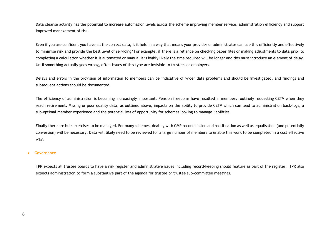Data cleanse activity has the potential to increase automation levels across the scheme improving member service, administration efficiency and support improved management of risk.

Even if you are confident you have all the correct data, is it held in a way that means your provider or administrator can use this efficiently and effectively to minimise risk and provide the best level of servicing? For example, if there is a reliance on checking paper files or making adjustments to data prior to completing a calculation whether it is automated or manual it is highly likely the time required will be longer and this must introduce an element of delay. Until something actually goes wrong, often issues of this type are invisible to trustees or employers.

Delays and errors in the provision of information to members can be indicative of wider data problems and should be investigated, and findings and subsequent actions should be documented.

The efficiency of administration is becoming increasingly important. Pension freedoms have resulted in members routinely requesting CETV when they reach retirement. Missing or poor quality data, as outlined above, impacts on the ability to provide CETV which can lead to administration back-logs, a sub-optimal member experience and the potential loss of opportunity for schemes looking to manage liabilities.

Finally there are bulk exercises to be managed. For many schemes, dealing with GMP reconciliation and rectification as well as equalisation (and potentially conversion) will be necessary. Data will likely need to be reviewed for a large number of members to enable this work to be completed in a cost effective way.

#### • **Governance**

TPR expects all trustee boards to have a risk register and administrative issues including record-keeping should feature as part of the register. TPR also expects administration to form a substantive part of the agenda for trustee or trustee sub-committee meetings.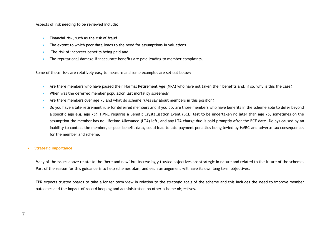Aspects of risk needing to be reviewed include:

- Financial risk, such as the risk of fraud
- The extent to which poor data leads to the need for assumptions in valuations
- The risk of incorrect benefits being paid and;
- The reputational damage if inaccurate benefits are paid leading to member complaints.

Some of these risks are relatively easy to measure and some examples are set out below:

- Are there members who have passed their Normal Retirement Age (NRA) who have not taken their benefits and, if so, why is this the case?
- When was the deferred member population last mortality screened?
- Are there members over age 75 and what do scheme rules say about members in this position?
- Do you have a late retirement rule for deferred members and if you do, are those members who have benefits in the scheme able to defer beyond a specific age e.g. age 75? HMRC requires a Benefit Crystallisation Event (BCE) test to be undertaken no later than age 75, sometimes on the assumption the member has no Lifetime Allowance (LTA) left, and any LTA charge due is paid promptly after the BCE date. Delays caused by an inability to contact the member, or poor benefit data, could lead to late payment penalties being levied by HMRC and adverse tax consequences for the member and scheme.

#### • **Strategic importance**

Many of the issues above relate to the 'here and now' but increasingly trustee objectives are strategic in nature and related to the future of the scheme. Part of the reason for this guidance is to help schemes plan, and each arrangement will have its own long term objectives.

TPR expects trustee boards to take a longer term view in relation to the strategic goals of the scheme and this includes the need to improve member outcomes and the impact of record keeping and administration on other scheme objectives.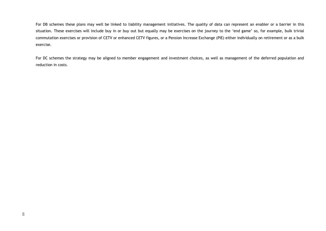For DB schemes these plans may well be linked to liability management initiatives. The quality of data can represent an enabler or a barrier in this situation. These exercises will include buy in or buy out but equally may be exercises on the journey to the 'end game' so, for example, bulk trivial commutation exercises or provision of CETV or enhanced CETV figures, or a Pension Increase Exchange (PIE) either individually on retirement or as a bulk exercise.

For DC schemes the strategy may be aligned to member engagement and investment choices, as well as management of the deferred population and reduction in costs.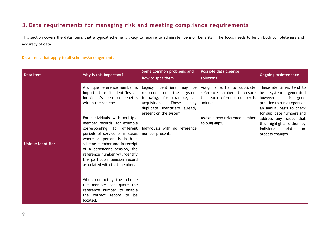## **3. Data requirements for managing risk and meeting compliance requirements**

This section covers the data items that a typical scheme is likely to require to administer pension benefits. The focus needs to be on both completeness and accuracy of data.

#### **Data items that apply to all schemes/arrangements**

| Data Item         | Why is this important?                                                                                                                                                                                                                                                                                                                                                                                                                                 | Some common problems and<br>how to spot them                                                                                                                                                                                                        | Possible data cleanse<br>solutions                                                                                                                        | <b>Ongoing maintenance</b>                                                                                                                                                                                                                                                   |
|-------------------|--------------------------------------------------------------------------------------------------------------------------------------------------------------------------------------------------------------------------------------------------------------------------------------------------------------------------------------------------------------------------------------------------------------------------------------------------------|-----------------------------------------------------------------------------------------------------------------------------------------------------------------------------------------------------------------------------------------------------|-----------------------------------------------------------------------------------------------------------------------------------------------------------|------------------------------------------------------------------------------------------------------------------------------------------------------------------------------------------------------------------------------------------------------------------------------|
| Unique identifier | A unique reference number is $ $<br>important as it identifies an<br>individual's pension benefits<br>within the scheme.<br>For individuals with multiple<br>member records, for example<br>corresponding to different<br>periods of service or in cases<br>where a person is both a<br>scheme member and in receipt<br>of a dependant pension, the<br>reference number will identify<br>the particular pension record<br>associated with that member. | identifiers may be<br>Legacy<br>recorded<br>the<br>on<br>system<br>following, for example, an<br><b>These</b><br>acquisition.<br>may<br>duplicate identifiers already<br>present on the system.<br>Individuals with no reference<br>number present. | Assign a suffix to duplicate<br>reference numbers to ensure<br>that each reference number is<br>unique.<br>Assign a new reference number<br>to plug gaps. | These identifiers tend to<br>be system<br>generated<br>however it<br>is good<br>practice to run a report on<br>an annual basis to check<br>for duplicate numbers and<br>address any issues that<br>this highlights either by<br>individual updates<br>or<br>process changes. |
|                   | When contacting the scheme<br>the member can quote the<br>reference number to enable<br>the correct record to be<br>located.                                                                                                                                                                                                                                                                                                                           |                                                                                                                                                                                                                                                     |                                                                                                                                                           |                                                                                                                                                                                                                                                                              |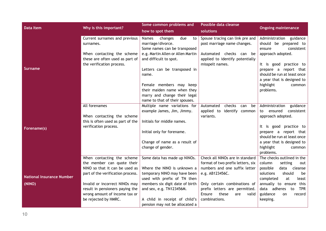| Data Item                                                             | Some common problems and<br>Possible data cleanse                              |                                                                    |                                                      |
|-----------------------------------------------------------------------|--------------------------------------------------------------------------------|--------------------------------------------------------------------|------------------------------------------------------|
| Why is this important?<br>how to spot them                            | solutions                                                                      |                                                                    | <b>Ongoing maintenance</b>                           |
| changes<br>Current surnames and previous<br>Names                     | due<br>to                                                                      | Spouse tracing can link pre and                                    | Administration<br>guidance                           |
| marriage/divorce.<br>surnames.                                        |                                                                                | post marriage name changes.                                        | should be prepared to                                |
|                                                                       | Some names can be transposed                                                   |                                                                    | consistent<br>ensure                                 |
| When contacting the scheme                                            | e.g. Martin Allen or Allen Martin                                              | Automated checks can be                                            | approach adopted.                                    |
| these are often used as part of<br>and difficult to spot.             |                                                                                | applied to identify potentially                                    |                                                      |
| the verification process.                                             | misspelt names.                                                                |                                                                    | It is good practice to                               |
| <b>Surname</b>                                                        | Letters can be transposed in                                                   |                                                                    | prepare a report that                                |
| name.                                                                 |                                                                                |                                                                    | should be run at least once                          |
|                                                                       |                                                                                |                                                                    | a year that is designed to                           |
|                                                                       | Female members may keep                                                        |                                                                    | highlight<br>common                                  |
|                                                                       | their maiden name when they                                                    |                                                                    | problems.                                            |
|                                                                       | marry and change their legal                                                   |                                                                    |                                                      |
|                                                                       | name to that of their spouses.                                                 |                                                                    |                                                      |
| All forenames                                                         | Multiple name variations for<br>Automated                                      | checks<br>be<br>can                                                | Administration<br>guidance                           |
| example James, Jim, Jimmy.                                            |                                                                                | applied to identify common                                         | consistent<br>to ensured                             |
| When contacting the scheme                                            | variants.                                                                      |                                                                    | approach adopted.                                    |
| this is often used as part of the<br>Initials for middle names.       |                                                                                |                                                                    |                                                      |
| verification process.<br>Forename(s)                                  |                                                                                |                                                                    | It is good practice to                               |
| Initial only for forename.                                            |                                                                                |                                                                    | prepare a report that                                |
|                                                                       |                                                                                |                                                                    | should be run at least once                          |
|                                                                       | Change of name as a result of                                                  |                                                                    | a year that is designed to                           |
| change of gender.                                                     |                                                                                |                                                                    | highlight<br>common                                  |
|                                                                       |                                                                                |                                                                    | problems.                                            |
| When contacting the scheme                                            | Some data has made up NINOs.                                                   | Check all NINOs are in standard                                    | The checks outlined in the                           |
| the member can quote their<br>NINO so that it can be used as          | Where the NINO is unknown a                                                    | format of two prefix letters, six<br>numbers and one suffix letter | column<br>setting<br>out<br>possible<br>data cleanse |
|                                                                       |                                                                                |                                                                    | solutions<br>should                                  |
| part of the verification process.<br><b>National Insurance Number</b> | temporary NINO may have been<br>e.g. AB123456C.<br>used with prefix of TN then |                                                                    | be<br>completed<br>at<br>least                       |
| (NINO)<br>Invalid or incorrect NINOs may                              | members six digit date of birth                                                | Only certain combinations of                                       | annually to ensure<br>this                           |
| result in pensioners paying the<br>and sex, e.g. TN123456M.           |                                                                                | prefix letters are permitted.                                      | data adheres<br><b>TPR</b><br>to                     |
| wrong amount of income tax or                                         | Ensure                                                                         | these<br>valid<br>are                                              | guidance<br>record<br>on                             |
| be rejected by HMRC.                                                  | A child in receipt of child's<br>combinations.                                 |                                                                    | keeping.                                             |
|                                                                       | pension may not be allocated a                                                 |                                                                    |                                                      |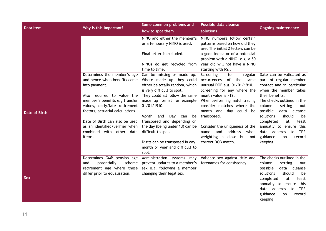| <b>Data Item</b>     |                                  | Some common problems and         | Possible data cleanse             |                                  |
|----------------------|----------------------------------|----------------------------------|-----------------------------------|----------------------------------|
|                      | Why is this important?           | how to spot them                 | solutions                         | <b>Ongoing maintenance</b>       |
|                      |                                  | NINO and either the member's     | NINO numbers follow certain       |                                  |
|                      |                                  | or a temporary NINO is used.     | patterns based on how old they    |                                  |
|                      |                                  |                                  | are. The initial 2 letters can be |                                  |
|                      |                                  | Final letter is excluded.        | a good indicator of a potential   |                                  |
|                      |                                  |                                  | problem with a NINO. e.g. a 50    |                                  |
|                      |                                  | NINOs do get recycled from       | year old will not have a NINO     |                                  |
|                      |                                  | time to time.                    | starting with PS                  |                                  |
|                      | Determines the member's age      | Can be missing or made up.       | Screening<br>for<br>regular       | Date can be validated as         |
|                      | and hence when benefits come     | Where made up they could         | of the same<br>occurrences        | part of regular member           |
|                      | into payment.                    | either be totally random, which  | unusual DOB e.g. 01/01/1910.      | contact and in particular        |
|                      |                                  | is very difficult to spot.       | Screening for any where the       | when the member takes            |
|                      | Also required to value the       | They could all follow the same   | month value is >12.               | their benefits.                  |
|                      | member's benefits e.g transfer   | made up format for example       | When performing match tracing     | The checks outlined in the       |
|                      | values, early/late retirement    | 01/01/1910.                      | consider matches where the        | column<br>setting<br>out         |
| <b>Date of Birth</b> | factors, actuarial calculations. |                                  | month and day could be            | possible<br>data cleanse         |
|                      |                                  | Month and<br>Day<br>be<br>can    | transposed.                       | should<br>solutions<br>be        |
|                      | Date of Birth can also be used   | transposed and depending on      |                                   | completed<br>at<br>least         |
|                      | as an identified/verifier when   | the day (being under 13) can be  | Consider the uniqueness of the    | annually to ensure this          |
|                      | combined with other data         | difficult to spot.               | address<br>and<br>when<br>name    | data adheres to<br><b>TPR</b>    |
|                      | items.                           |                                  | weighting a close but not         | guidance<br>record<br><b>on</b>  |
|                      |                                  | Digits can be transposed in day, | correct DOB match.                | keeping.                         |
|                      |                                  | month or year and difficult to   |                                   |                                  |
|                      |                                  | spot.                            |                                   |                                  |
|                      | Determines GMP pension age       | Administration systems may       | Validate sex against title and    | The checks outlined in the       |
|                      | potentially<br>scheme<br>and     | prevent updates to a member's    | forenames for consistency.        | column<br>setting<br>out         |
|                      | retirement age where these       | sex e.g. following a member      |                                   | possible<br>data cleanse         |
| <b>Sex</b>           | differ prior to equalisation.    | changing their legal sex.        |                                   | solutions<br>should<br>be        |
|                      |                                  |                                  |                                   | least<br>completed<br>at         |
|                      |                                  |                                  |                                   | annually to ensure<br>this       |
|                      |                                  |                                  |                                   | data adheres<br><b>TPR</b><br>to |
|                      |                                  |                                  |                                   | guidance<br>record<br>on         |
|                      |                                  |                                  |                                   | keeping.                         |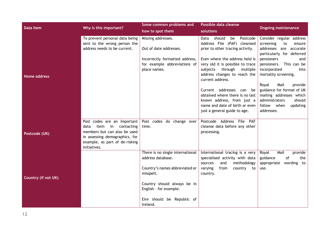| <b>Data Item</b>    |                                                                | Some common problems and                                       | Possible data cleanse                                                                     |                                                                                                              |
|---------------------|----------------------------------------------------------------|----------------------------------------------------------------|-------------------------------------------------------------------------------------------|--------------------------------------------------------------------------------------------------------------|
|                     | Why is this important?                                         | how to spot them                                               | solutions                                                                                 | <b>Ongoing maintenance</b>                                                                                   |
|                     | To prevent personal data being<br>sent to the wrong person the | Missing addresses.                                             | should<br>Data<br>be<br>Postcode<br>Address File (PAF) cleansed                           | Consider regular address<br>screening<br>to<br>ensure                                                        |
|                     | address needs to be current.                                   | Out of date addresses.                                         | prior to other tracing activity.                                                          | addresses are<br>accurate<br>particularly for deferred                                                       |
|                     |                                                                | Incorrectly formatted address,<br>for example abbreviations of | Even where the address held is<br>very old it is possible to trace                        | pensioners<br>and<br>This can be<br>pensioners.                                                              |
| Home address        |                                                                | place names.                                                   | through<br>subjects<br>multiple<br>address changes to reach the<br>current address.       | incorporated<br>into<br>mortality screening.                                                                 |
|                     |                                                                |                                                                | Current addresses can be<br>obtained where there is no last<br>known address, from just a | Royal<br>Mail<br>provide<br>guidance for format of UK<br>mailing addresses which<br>administrators<br>should |
|                     |                                                                |                                                                | name and date of birth or even<br>just a general guide to age.                            | follow when<br>updating<br>addresses.                                                                        |
|                     | Post codes are an important                                    | Post codes do change over                                      | Postcode Address File PAF                                                                 |                                                                                                              |
|                     | data<br>item<br>$\mathsf{in}$<br>contacting                    | time.                                                          | cleanse data before any other                                                             |                                                                                                              |
| Postcode (UK)       | members but can also be used<br>in assessing demographics, for |                                                                | processing.                                                                               |                                                                                                              |
|                     | example, as part of de-risking                                 |                                                                |                                                                                           |                                                                                                              |
|                     | initiatives.                                                   |                                                                |                                                                                           |                                                                                                              |
|                     |                                                                | There is no single international                               | International tracing is a very                                                           | Mail<br>provide<br>Royal                                                                                     |
|                     |                                                                | address database.                                              | specialised activity with data<br>sources<br>and<br>methodology                           | of<br>guidance<br>the<br>appropriate<br>wording to                                                           |
|                     |                                                                | Country's names abbreviated or                                 | varying<br>from<br>country to                                                             | use.                                                                                                         |
| Country (if not UK) |                                                                | misspelt.                                                      | country.                                                                                  |                                                                                                              |
|                     |                                                                | Country should always be in<br>English - for example.          |                                                                                           |                                                                                                              |
|                     |                                                                | Eire should be Republic of<br>Ireland.                         |                                                                                           |                                                                                                              |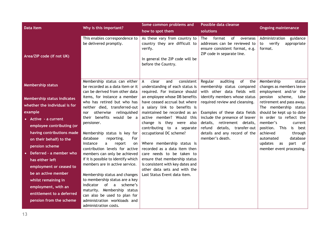| <b>Data Item</b>                                                                   | Why is this important?                                                                                                                        | Some common problems and<br>how to spot them                                                                                        | Possible data cleanse<br>solutions                                                                                              | <b>Ongoing maintenance</b>                                                                              |
|------------------------------------------------------------------------------------|-----------------------------------------------------------------------------------------------------------------------------------------------|-------------------------------------------------------------------------------------------------------------------------------------|---------------------------------------------------------------------------------------------------------------------------------|---------------------------------------------------------------------------------------------------------|
| Area/ZIP code (if not UK)                                                          | This enables correspondence to<br>be delivered promptly.                                                                                      | As these vary from country to<br>country they are difficult to<br>verify.<br>In general the ZIP code will be<br>before the Country. | format<br>of<br>The<br>overseas<br>addresses can be reviewed to<br>ensure consistent format, e.g.<br>ZIP code in separate line. | guidance<br>Administration<br>to verify<br>appropriate<br>format.                                       |
| <b>Membership status</b>                                                           | Membership status can either<br>be recorded as a data item or it<br>can be derived from other data                                            | clear<br>consistent<br>and<br>A<br>understanding of each status is<br>required. For instance should                                 | auditing<br>Regular<br>of<br>the<br>membership status compared<br>with other data fields will                                   | Membership<br>status<br>changes as members leave<br>employment and/or the                               |
| Membership status indicates<br>whether the individual is for                       | items, for instance a member<br>who has retired but who has                                                                                   | an employee whose DB benefits<br>have ceased accrual but where                                                                      | identify members whose status<br>required review and cleansing.                                                                 | pension scheme,<br>take<br>retirement and pass away.                                                    |
| example                                                                            | neither died, transferred-out<br>relinquished<br>otherwise<br>nor                                                                             | a salary link to benefits is<br>maintained be recorded as an                                                                        | Examples of these data fields                                                                                                   | The membership status<br>should be kept up to date                                                      |
| • Active - a current<br>employee contributing (or                                  | benefits would be a<br>their<br>pensioner.                                                                                                    | active member? Would this<br>change is they were also<br>contributing to a separate                                                 | include the presence of leaver<br>details, retirement details,<br>details, transfer-out<br>refund                               | in order to reflect the<br>member's<br>current<br>position.<br>This<br>is best                          |
| having contributions made<br>on their behalf) to the<br>pension scheme             | Membership status is key for<br>database<br>reporting.<br>For<br>instance<br>a<br>report<br>on<br>contribution levels for active              | occupational DC scheme?<br>Where membership status is<br>recorded as a data item then                                               | details and any record of the<br>member's death.                                                                                | achieved<br>through<br>database<br>automated<br>updates<br>part<br>of<br>as<br>member event processing. |
| Deferred - a member who<br>$\bullet$<br>has either left<br>employment or ceased to | members can only be achieved<br>if it is possible to identify which<br>members are in active service.                                         | care needs to be taken to<br>ensure that membership status<br>is consistent with key dates and<br>other data sets and with the      |                                                                                                                                 |                                                                                                         |
| be an active member<br>whilst remaining in<br>employment, with an                  | Membership status and changes<br>to membership status are a key<br>scheme's<br>of<br>indicator<br>$\mathsf{a}$<br>maturity. Membership status | Last Status Event data item.                                                                                                        |                                                                                                                                 |                                                                                                         |
| entitlement to a deferred<br>pension from the scheme                               | can also be used to plan for<br>administration workloads and<br>administration costs.                                                         |                                                                                                                                     |                                                                                                                                 |                                                                                                         |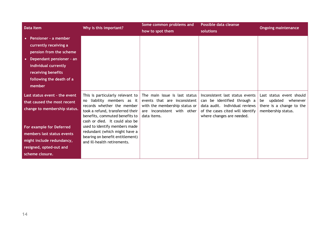| <b>Data Item</b>                                                                                                                                                                                                                  | Why is this important?                                                                                                                                                                                                                                                                                                                   | Some common problems and<br>how to spot them                                                                                                 | Possible data cleanse<br>solutions                                                                                                                                | <b>Ongoing maintenance</b>                                                                           |
|-----------------------------------------------------------------------------------------------------------------------------------------------------------------------------------------------------------------------------------|------------------------------------------------------------------------------------------------------------------------------------------------------------------------------------------------------------------------------------------------------------------------------------------------------------------------------------------|----------------------------------------------------------------------------------------------------------------------------------------------|-------------------------------------------------------------------------------------------------------------------------------------------------------------------|------------------------------------------------------------------------------------------------------|
| Pensioner - a member<br>currently receiving a<br>pension from the scheme<br>Dependant pensioner - an<br>$\bullet$<br>individual currently<br>receiving benefits<br>following the death of a<br>member                             |                                                                                                                                                                                                                                                                                                                                          |                                                                                                                                              |                                                                                                                                                                   |                                                                                                      |
| Last status event - the event<br>that caused the most recent<br>change to membership status.<br>For example for Deferred<br>members last status events<br>might include redundancy,<br>resigned, opted-out and<br>scheme closure. | This is particularly relevant to<br>no liability members as it<br>records whether the member<br>took a refund, transferred their<br>benefits, commuted benefits to<br>cash or died. It could also be<br>used to identify members made<br>redundant (which might have a<br>bearing on benefit entitlement)<br>and ill-health retirements. | The main issue is last status<br>events that are inconsistent<br>with the membership status or<br>are inconsistent with other<br>data items. | Inconsistent last status events<br>can be identified through a<br>data audit. Individual reviews<br>of the cases cited will identify<br>where changes are needed. | Last status event should<br>updated whenever<br>be<br>there is a change to the<br>membership status. |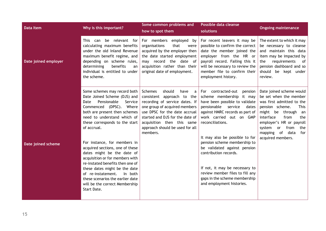| <b>Data Item</b>     | Why is this important?                                                                                                                                                                                                                                                                                                      | Some common problems and<br>how to spot them                                                                                                                                                                                                                                     | Possible data cleanse<br>solutions                                                                                                                                                                                                                    | <b>Ongoing maintenance</b>                                                                                                                                                                                                                                                                     |
|----------------------|-----------------------------------------------------------------------------------------------------------------------------------------------------------------------------------------------------------------------------------------------------------------------------------------------------------------------------|----------------------------------------------------------------------------------------------------------------------------------------------------------------------------------------------------------------------------------------------------------------------------------|-------------------------------------------------------------------------------------------------------------------------------------------------------------------------------------------------------------------------------------------------------|------------------------------------------------------------------------------------------------------------------------------------------------------------------------------------------------------------------------------------------------------------------------------------------------|
| Date joined employer | be relevant for<br>This can<br>calculating maximum benefits<br>under the old Inland Revenue<br>maximum benefit regime, and<br>depending on scheme rules,<br>determining<br>benefits<br>an<br>individual is entitled to under<br>the scheme.                                                                                 | For members employed by<br>organisations<br>that<br>were<br>acquired by the employer then<br>the date started employment<br>may record the date of<br>acquisition rather than their<br>original date of employment.                                                              | For recent leavers it may be<br>possible to confirm the correct<br>date the member joined the<br>employer from the HR or<br>payroll record. Failing this it<br>will be necessary to review the<br>member file to confirm their<br>employment history. | The extent to which it may<br>be necessary to cleanse<br>and maintain this data<br>item may be impacted by<br>requirements<br>the<br>$\circ$ of<br>pension dashboard and so<br>should<br>be kept under<br>review.                                                                              |
|                      | Some schemes may record both<br>Date Joined Scheme (DJS) and<br>Pensionable<br>Service<br>Date<br>Commenced (DPSC). Where<br>both are present then schemes<br>need to understand which of<br>these corresponds to the start<br>of accrual.                                                                                  | Schemes<br>should<br>have<br>a<br>consistent approach to the<br>recording of service dates. If<br>one group of acquired members<br>use DPSC for the date accrual<br>started and DJS for the date of<br>acquisition then this same<br>approach should be used for all<br>members. | For contracted-out<br>pension<br>scheme membership it may<br>have been possible to validate<br>pensionable service<br>dates<br>against HMRC records as part of<br>work carried out on GMP<br>reconciliations.<br>It may also be possible to for       | Date joined scheme would<br>be set when the member<br>was first admitted to the<br>pension scheme.<br><b>This</b><br>might be<br>through<br>an<br>interface<br>from<br>the<br>employer's HR or payroll<br>system<br>from<br>the<br><b>or</b><br>mapping of<br>data<br>for<br>acquired members. |
| Date joined scheme   | For instance, for members in<br>acquired sections, one of these<br>dates might be the date of<br>acquisition or for members with<br>re-instated benefits then one of<br>these dates might be the date<br>of re-instatement.<br>In both<br>these scenarios the earlier date<br>will be the correct Membership<br>Start Date. |                                                                                                                                                                                                                                                                                  | pension scheme membership to<br>be validated against pension<br>contribution records.<br>If not, it may be necessary to<br>review member files to fill any<br>gaps in the scheme membership<br>and employment histories.                              |                                                                                                                                                                                                                                                                                                |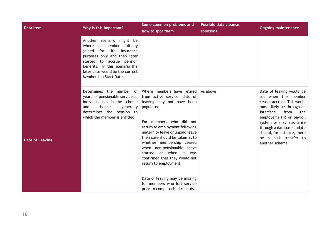| Data Item              | Why is this important?                                                                                                                                                                                                                                        | Some common problems and<br>how to spot them                                                                                                                                                                                                                                                                                                                                                                                                                                                | Possible data cleanse<br>solutions | <b>Ongoing maintenance</b>                                                                                                                                                                                                                                                                             |
|------------------------|---------------------------------------------------------------------------------------------------------------------------------------------------------------------------------------------------------------------------------------------------------------|---------------------------------------------------------------------------------------------------------------------------------------------------------------------------------------------------------------------------------------------------------------------------------------------------------------------------------------------------------------------------------------------------------------------------------------------------------------------------------------------|------------------------------------|--------------------------------------------------------------------------------------------------------------------------------------------------------------------------------------------------------------------------------------------------------------------------------------------------------|
|                        | Another scenario might be<br>a member<br>where<br>initially<br>life<br>joined<br>for<br>insurance<br>purposes only and then later<br>started to accrue pension<br>benefits. In this scenario the<br>later date would be the correct<br>Membership Start Date. |                                                                                                                                                                                                                                                                                                                                                                                                                                                                                             |                                    |                                                                                                                                                                                                                                                                                                        |
| <b>Date of Leaving</b> | Determines the number of<br>years' of pensionable service an $ $<br>individual has in the scheme<br>and<br>hence<br>generally<br>determines the pension to<br>which the member is entitled.                                                                   | Where members have retired<br>from active service, date of<br>leaving may not have been<br>populated.<br>For members who did not<br>return to employment following<br>maternity leave or unpaid leave<br>then care should be taken as to<br>whether membership ceased<br>when non-pensionable leave<br>started or when it was<br>confirmed that they would not<br>return to employment.<br>Date of leaving may be missing<br>for members who left service<br>prior to computerised records. | As above                           | Date of leaving would be<br>set when the member<br>ceases accrual. This would<br>most likely be through an<br>interface<br>from<br>the<br>employer's HR or payroll<br>system or may also arise<br>through a database update<br>should, for instance, there<br>be a bulk transfer to<br>another scheme. |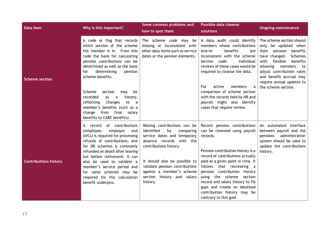| <b>Data Item</b>             | Why is this important?                                                                                                                                                                                                                                                                                                                                                                                                                                  | Some common problems and<br>how to spot them                                                                                                                                                                                                                                                 | Possible data cleanse<br>solutions                                                                                                                                                                                                                                                                                                                                                                                | <b>Ongoing maintenance</b>                                                                                                                                                                                                                                                             |
|------------------------------|---------------------------------------------------------------------------------------------------------------------------------------------------------------------------------------------------------------------------------------------------------------------------------------------------------------------------------------------------------------------------------------------------------------------------------------------------------|----------------------------------------------------------------------------------------------------------------------------------------------------------------------------------------------------------------------------------------------------------------------------------------------|-------------------------------------------------------------------------------------------------------------------------------------------------------------------------------------------------------------------------------------------------------------------------------------------------------------------------------------------------------------------------------------------------------------------|----------------------------------------------------------------------------------------------------------------------------------------------------------------------------------------------------------------------------------------------------------------------------------------|
| <b>Scheme section</b>        | A code or flag that records<br>which section of the scheme<br>the member is in. From this<br>code the basis for calculating<br>pension contributions can be<br>determined as well as the basis<br>determining<br>pension<br>for<br>scheme benefits.<br>Scheme<br>section<br>may<br>be<br>recorded<br>history,<br>as<br>a<br>reflecting<br>changes<br>to<br>a<br>member's benefits (such as a<br>change from final salary<br>benefits to CARE benefits). | The scheme code may be<br>missing or inconsistent with<br>other data items such as service<br>dates or the pension elements.                                                                                                                                                                 | A data audit could identify<br>members whose contributions<br>and/or<br>benefits<br>are<br>inconsistent with the scheme<br>section code.<br>Individual<br>reviews of these cases would be<br>required to cleanse the data.<br>members<br>For<br>active<br>comparison of scheme section<br>with the records held by HR and<br>payroll might also identify<br>cases that require review.                            | The scheme section should<br>only be updated when<br>their<br>pension<br>benefits<br>have changed.<br>Schemes<br>flexible<br>with<br>benefits<br>allowing<br>members<br>to<br>adjust contribution rates<br>and benefit accrual may<br>require annual updates to<br>the scheme section. |
| <b>Contributions history</b> | A record of contributions<br>employer<br>(employee,<br>and<br>AVCs) is required for processing<br>refunds of contributions, and<br>for DB schemes is commonly<br>refunded on death after leaving<br>but before retirement. It can<br>also be used to validate a<br>member's service period and<br>for some schemes may be<br>required for the calculation<br>benefit underpins.                                                                         | Missing contributions can be<br>identified<br>by<br>comparing<br>service dates and temporary<br>absence records with the<br>contributions history.<br>It should also be possible to<br>validate pension contributions<br>against a member's scheme<br>section history and salary<br>history. | Recent pension contributions<br>can be cleansed using payroll<br>records.<br>Pension contribution history is a<br>record of contributions actually<br>paid at a given point in time. It<br>follows that recreating a<br>pension contribution history<br>using the scheme<br>section<br>record and salary history to fill<br>gaps and create an idealized<br>contribution history may be<br>contrary to this goal. | An automated interface<br>between payroll and the<br>administration<br>pensions<br>system should be used to<br>update the contributions<br>history.                                                                                                                                    |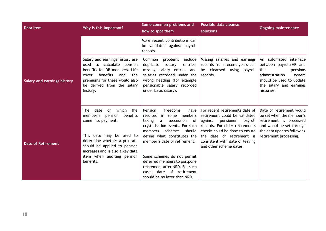| <b>Data Item</b>                   | Why is this important?                                                                                                                                                                                                         | Some common problems and<br>how to spot them                                                                                                                                                                                    | Possible data cleanse<br>solutions                                                                                                                                                                                                                                | <b>Ongoing maintenance</b>                                                                                                                                           |
|------------------------------------|--------------------------------------------------------------------------------------------------------------------------------------------------------------------------------------------------------------------------------|---------------------------------------------------------------------------------------------------------------------------------------------------------------------------------------------------------------------------------|-------------------------------------------------------------------------------------------------------------------------------------------------------------------------------------------------------------------------------------------------------------------|----------------------------------------------------------------------------------------------------------------------------------------------------------------------|
|                                    |                                                                                                                                                                                                                                | More recent contributions can<br>be validated against payroll<br>records.                                                                                                                                                       |                                                                                                                                                                                                                                                                   |                                                                                                                                                                      |
| <b>Salary and earnings history</b> | Salary and earnings history are<br>used to calculate pension<br>benefits for DB members. Life<br>benefits<br>and<br>the<br>cover<br>premiums for these would also<br>be derived from the salary<br>history.                    | Common<br>problems<br>include<br>salary<br>duplicate<br>entries,<br>missing salary entries and<br>salaries recorded under the<br>wrong heading (for example<br>pensionable salary recorded<br>under basic salary).              | Missing salaries and earnings<br>records from recent years can<br>be cleansed<br>using payroll<br>records.                                                                                                                                                        | An automated interface<br>between payroll/HR and<br>the<br>pensions<br>administration<br>system<br>should be used to update<br>the salary and earnings<br>histories. |
| <b>Date of Retirement</b>          | <b>The</b><br>which<br>date<br>the<br>on<br>member's pension<br>benefits<br>came into payment.<br>This date may be used to<br>determine whether a pro rata<br>should be applied to pension<br>increases and is also a key data | freedoms<br>Pension<br>have<br>resulted<br>in some members<br>taking<br>succession<br>a<br>0f<br>crystalisation events. For such<br>members<br>schemes<br>should<br>define what constitutes the<br>member's date of retirement. | For recent retirements date of<br>retirement could be validated<br>against<br>pensioner<br>payroll<br>records. For older retirements<br>checks could be done to ensure<br>the date of retirement is<br>consistent with date of leaving<br>and other scheme dates. | Date of retirement would<br>be set when the member's<br>retirement is processed<br>and would be set through<br>the data updates following<br>retirement processing.  |
|                                    | item when auditing pension<br>benefits.                                                                                                                                                                                        | Some schemes do not permit<br>deferred members to postpone<br>retirement after NRD. For such<br>date of retirement<br>cases<br>should be no later than NRD.                                                                     |                                                                                                                                                                                                                                                                   |                                                                                                                                                                      |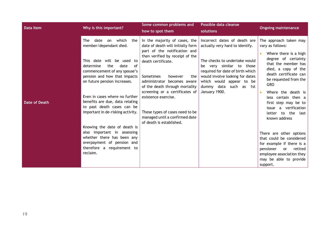| <b>Data Item</b>     | Why is this important?                                                                                                                                                                                                                                                                                                                                                                                 | Some common problems and<br>how to spot them                                                                                                                                                                                                                                                                                                                                                                                 | Possible data cleanse<br>solutions                                                                                                                                                                                                                                         | <b>Ongoing maintenance</b>                                                                                                                                                                                                                                                                                                                      |
|----------------------|--------------------------------------------------------------------------------------------------------------------------------------------------------------------------------------------------------------------------------------------------------------------------------------------------------------------------------------------------------------------------------------------------------|------------------------------------------------------------------------------------------------------------------------------------------------------------------------------------------------------------------------------------------------------------------------------------------------------------------------------------------------------------------------------------------------------------------------------|----------------------------------------------------------------------------------------------------------------------------------------------------------------------------------------------------------------------------------------------------------------------------|-------------------------------------------------------------------------------------------------------------------------------------------------------------------------------------------------------------------------------------------------------------------------------------------------------------------------------------------------|
| <b>Date of Death</b> | on which<br><b>The</b><br>date<br>the<br>member/dependant died.<br>This date will be used to<br>determine<br>the<br>date<br>of<br>commencement of any spouse's<br>pension and how that impacts<br>on future pension increases.<br>Even in cases where no further<br>benefits are due, data relating<br>to past death cases can be<br>important in de-risking activity.<br>Knowing the date of death is | In the majority of cases, the<br>date of death will initially form<br>part of the notification and<br>then verified by receipt of the<br>death certificate.<br><b>Sometimes</b><br>however<br>the<br>administrator becomes aware<br>of the death through mortality<br>screening or a certificates of<br>existence exercise.<br>These types of cases need to be<br>managed until a confirmed date<br>of death is established. | Incorrect dates of death are<br>actually very hard to identify.<br>The checks to undertake would<br>be very similar to those<br>required for date of birth which<br>would involve looking for dates<br>which would appear to be<br>dummy data such as 1st<br>January 1900. | The approach taken may<br>vary as follows:<br>Where there is a high<br>degree of certainty<br>that the member has<br>died, a copy of the<br>death certificate can<br>be requested from the<br><b>GRO</b><br>Where the death is<br>less certain then a<br>first step may be to<br>issue a verification<br>letter to the<br>last<br>known address |
|                      | also important in assessing<br>whether there has been any<br>overpayment of pension and<br>therefore a requirement to<br>reclaim.                                                                                                                                                                                                                                                                      |                                                                                                                                                                                                                                                                                                                                                                                                                              |                                                                                                                                                                                                                                                                            | There are other options<br>that could be considered<br>for example if there is a<br>pensioner<br>retired<br>or<br>employee association they<br>may be able to provide<br>support.                                                                                                                                                               |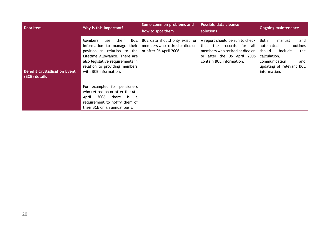| Data Item                                             | Why is this important?                                                                                                                                                                                                      | Some common problems and<br>how to spot them                                                | Possible data cleanse<br>solutions                                                                                                                         | <b>Ongoing maintenance</b>                                                                                                                                     |
|-------------------------------------------------------|-----------------------------------------------------------------------------------------------------------------------------------------------------------------------------------------------------------------------------|---------------------------------------------------------------------------------------------|------------------------------------------------------------------------------------------------------------------------------------------------------------|----------------------------------------------------------------------------------------------------------------------------------------------------------------|
| <b>Benefit Crystallisation Event</b><br>(BCE) details | BCE<br>their<br>Members<br>use<br>information to manage their<br>position in relation to the<br>Lifetime Allowance. There are<br>also legislative requirements in<br>relation to providing members<br>with BCE information. | BCE data should only exist for<br>members who retired or died on<br>or after 06 April 2006. | A report should be run to check<br>that the records for all<br>members who retired or died on<br>after the 06 April 2006<br>or<br>contain BCE information. | Both<br>manual<br>and<br>automated<br>routines<br>should<br>include<br>the<br>calculation,<br>and<br>communication<br>updating of relevant BCE<br>information. |
|                                                       | For example, for pensioners<br>who retired on or after the 6th<br>2006<br>there<br>is a<br>April<br>requirement to notify them of<br>their BCE on an annual basis.                                                          |                                                                                             |                                                                                                                                                            |                                                                                                                                                                |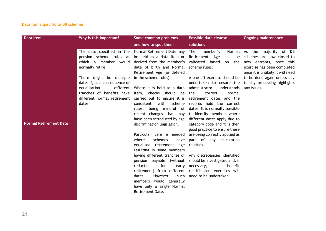#### **Data items specific to DB schemes**

| Data Item                     | Why is this important?                                                                                                                                                                                                                                               | Some common problems                                                                                                                                                                                                                                                                                                                                                                                                                                                                                                                                                                                                                                                                                                                                                       | Possible data cleanse                                                                                                                                                                                                                                                                                                                                                                                                                                                                                                                                                                                                                                                              | <b>Ongoing maintenance</b>                                                                                                                                                                                                     |
|-------------------------------|----------------------------------------------------------------------------------------------------------------------------------------------------------------------------------------------------------------------------------------------------------------------|----------------------------------------------------------------------------------------------------------------------------------------------------------------------------------------------------------------------------------------------------------------------------------------------------------------------------------------------------------------------------------------------------------------------------------------------------------------------------------------------------------------------------------------------------------------------------------------------------------------------------------------------------------------------------------------------------------------------------------------------------------------------------|------------------------------------------------------------------------------------------------------------------------------------------------------------------------------------------------------------------------------------------------------------------------------------------------------------------------------------------------------------------------------------------------------------------------------------------------------------------------------------------------------------------------------------------------------------------------------------------------------------------------------------------------------------------------------------|--------------------------------------------------------------------------------------------------------------------------------------------------------------------------------------------------------------------------------|
|                               |                                                                                                                                                                                                                                                                      | and how to spot them                                                                                                                                                                                                                                                                                                                                                                                                                                                                                                                                                                                                                                                                                                                                                       | solutions                                                                                                                                                                                                                                                                                                                                                                                                                                                                                                                                                                                                                                                                          |                                                                                                                                                                                                                                |
| <b>Normal Retirement Date</b> | The date specified in the<br>pension scheme rules at<br>which a member would<br>normally retire.<br>There might be multiple<br>dates if, as a consequence of<br>equalisation<br>$d$ ifferent  <br>tranches of benefits have<br>different normal retirement<br>dates. | Normal Retirement Date may<br>be held as a data item or<br>derived from the member's<br>date of birth and Normal<br>Retirement Age (as defined<br>in the scheme rules).<br>Where it is held as a data<br>item, checks should<br>be<br>carried out to ensure it is<br>with<br>scheme<br>consistent<br>being mindful of<br>rules,<br>recent changes that may<br>have been introduced by age<br>discrimination legislation.<br>Particular care is needed<br>where<br>schemes<br>have<br>equalised retirement age<br>resulting in some members<br>having different tranches of<br>pension payable (without<br>reduction<br>for<br>early<br>retirement) from different<br>dates.<br>However<br>such<br>members would generally<br>have only a single Normal<br>Retirement Date. | member's<br>The<br>Normal<br>Retirement Age<br>can be<br>validated based<br>on the<br>scheme rules.<br>A one off exercise should be<br>undertaken to ensure the<br>administrator<br>understands<br>the<br>correct<br>normal<br>retirement dates and the<br>records hold the correct<br>dates. It is normally possible<br>to identify members where<br>different dates apply due to<br>category code and it is then<br>good practice to ensure these<br>are being correctly applied as<br>part of any calculation<br>routines.<br>Any discrepancies identified<br>should be investigated and, if<br>benefit<br>necessary,<br>rectification exercises will<br>need to be undertaken. | As the majority of DB<br>schemes are now closed to<br>new entrants, once this<br>exercise has been completed<br>once it is unlikely it will need<br>to be done again unless day<br>to day processing highlights<br>any issues. |
|                               |                                                                                                                                                                                                                                                                      |                                                                                                                                                                                                                                                                                                                                                                                                                                                                                                                                                                                                                                                                                                                                                                            |                                                                                                                                                                                                                                                                                                                                                                                                                                                                                                                                                                                                                                                                                    |                                                                                                                                                                                                                                |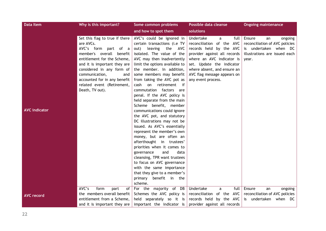| <b>Data Item</b>     | Why is this important?                                                                                                                                                                                                                                                                                | Some common problems                                                                                                                                                                                                                                                                                                                                                                                                                                                                                                                                                                                                                                                                                                                        | Possible data cleanse                                                                                                                                                                                                                                        | <b>Ongoing maintenance</b>                                                                                                   |
|----------------------|-------------------------------------------------------------------------------------------------------------------------------------------------------------------------------------------------------------------------------------------------------------------------------------------------------|---------------------------------------------------------------------------------------------------------------------------------------------------------------------------------------------------------------------------------------------------------------------------------------------------------------------------------------------------------------------------------------------------------------------------------------------------------------------------------------------------------------------------------------------------------------------------------------------------------------------------------------------------------------------------------------------------------------------------------------------|--------------------------------------------------------------------------------------------------------------------------------------------------------------------------------------------------------------------------------------------------------------|------------------------------------------------------------------------------------------------------------------------------|
|                      |                                                                                                                                                                                                                                                                                                       | and how to spot them                                                                                                                                                                                                                                                                                                                                                                                                                                                                                                                                                                                                                                                                                                                        | solutions                                                                                                                                                                                                                                                    |                                                                                                                              |
| <b>AVC indicator</b> | Set this flag to true if there<br>are AVCs.<br>AVC's form part of a<br>member's overall benefit<br>entitlement for the Scheme,<br>and it is important they are<br>considered in any form of<br>communication,<br>and<br>accounted for in any benefit<br>related event (Retirement,<br>Death, TV out). | AVC's could be ignored in<br>certain transactions (i.e TV<br>leaving the<br>out)<br>AVC<br>isolated. The value of the<br>AVC may then inadvertently<br>limit the options available to<br>the member. In addition,<br>some members may benefit<br>from taking the AVC pot as<br>retirement if<br>cash<br>on<br>commutation factors are<br>penal. If the AVC policy is<br>held separate from the main<br>Scheme benefit, member<br>communications could ignore<br>the AVC pot, and statutory<br>DC illustrations may not be<br>issued. As AVC's essentially<br>represent the member's own<br>money, but are often an<br>afterthought in trustees'<br>priorities when it comes to<br>and<br>data<br>governance<br>cleansing, TPR want trustees | Undertake<br>full<br>a<br>reconciliation of the AVC<br>records held by the AVC<br>provider against all records<br>where an AVC indicator is<br>set. Update the indicator<br>where absent, and ensure an<br>AVC flag message appears on<br>any event process. | Ensure<br>an<br>ongoing<br>reconciliation of AVC policies<br>is undertaken when DC<br>illustrations are issued each<br>year. |
|                      |                                                                                                                                                                                                                                                                                                       | to focus on AVC governance<br>with the same importance<br>that they give to a member's                                                                                                                                                                                                                                                                                                                                                                                                                                                                                                                                                                                                                                                      |                                                                                                                                                                                                                                                              |                                                                                                                              |
|                      |                                                                                                                                                                                                                                                                                                       | primary benefit in the<br>scheme.                                                                                                                                                                                                                                                                                                                                                                                                                                                                                                                                                                                                                                                                                                           |                                                                                                                                                                                                                                                              |                                                                                                                              |
| <b>AVC record</b>    | AVC's<br>form<br>part<br>of<br>the members overall benefit<br>entitlement from a Scheme,                                                                                                                                                                                                              | For the majority of DB<br>Schemes the AVC policy is<br>held separately so it is                                                                                                                                                                                                                                                                                                                                                                                                                                                                                                                                                                                                                                                             | Undertake<br>full<br>a<br>reconciliation of the AVC<br>records held by the AVC                                                                                                                                                                               | Ensure<br>ongoing<br>an<br>reconciliation of AVC policies<br>is undertaken when DC                                           |
|                      | and it is important they are                                                                                                                                                                                                                                                                          | important the indicator is                                                                                                                                                                                                                                                                                                                                                                                                                                                                                                                                                                                                                                                                                                                  | provider against all records                                                                                                                                                                                                                                 |                                                                                                                              |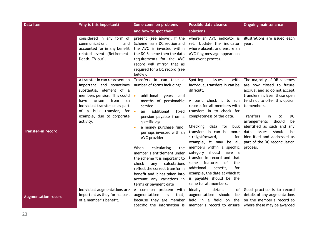| <b>Data Item</b>           | Why is this important?                                                                                                                                                                                                                                      | Some common problems                                                                                                                                                                                                                                                                                                                                                                                                                                                                                                                                            | Possible data cleanse                                                                                                                                                                                                                                                                                                                                                                                                                                                                                                                                                                 | <b>Ongoing maintenance</b>                                                                                                                                                                                                                                                                                                                                                                   |
|----------------------------|-------------------------------------------------------------------------------------------------------------------------------------------------------------------------------------------------------------------------------------------------------------|-----------------------------------------------------------------------------------------------------------------------------------------------------------------------------------------------------------------------------------------------------------------------------------------------------------------------------------------------------------------------------------------------------------------------------------------------------------------------------------------------------------------------------------------------------------------|---------------------------------------------------------------------------------------------------------------------------------------------------------------------------------------------------------------------------------------------------------------------------------------------------------------------------------------------------------------------------------------------------------------------------------------------------------------------------------------------------------------------------------------------------------------------------------------|----------------------------------------------------------------------------------------------------------------------------------------------------------------------------------------------------------------------------------------------------------------------------------------------------------------------------------------------------------------------------------------------|
|                            |                                                                                                                                                                                                                                                             | and how to spot them                                                                                                                                                                                                                                                                                                                                                                                                                                                                                                                                            | solutions                                                                                                                                                                                                                                                                                                                                                                                                                                                                                                                                                                             |                                                                                                                                                                                                                                                                                                                                                                                              |
|                            | considered in any form of<br>communication,<br>and<br>accounted for in any benefit<br>related event (Retirement,<br>Death, TV out).                                                                                                                         | present (see above). If the<br>Scheme has a DC section and<br>the AVC is invested within<br>the DC Scheme then the data<br>requirements for the AVC<br>record will mirror that as<br>required for a DC record (see<br>below).                                                                                                                                                                                                                                                                                                                                   | where an AVC indicator is<br>set. Update the indicator<br>where absent, and ensure an<br>AVC flag message appears on<br>any event process.                                                                                                                                                                                                                                                                                                                                                                                                                                            | illustrations are issued each<br>vear.                                                                                                                                                                                                                                                                                                                                                       |
| <b>Transfer-in record</b>  | A transfer in can represent an<br>important and sometimes<br>substantial element of a<br>members pension. This could<br>arisen<br>from<br>have<br>an<br>individual transfer or as part<br>of a bulk transfer, for<br>example, due to corporate<br>activity. | Transfers in can take a<br>number of forms including:<br>additional years<br>and<br>$\bullet$<br>months of pensionable<br>service<br>additional<br>fixed<br>$\bullet$<br>an<br>pension payable from a<br>specific age<br>a money purchase fund,<br>$\bullet$<br>perhaps invested with an<br>AVC provider<br>When<br>calculating<br>the<br>member's entitlement under<br>the scheme it is important to<br>check<br>calculations<br>any<br>reflect the correct transfer in<br>benefit and it has taken into<br>account any variations in<br>terms or payment date | Spotting<br>with<br>issues<br>individual transfers in can be<br>difficult.<br>A basic check it to run<br>reports for all members with<br>transfers in to check for<br>completeness of the data.<br>Checking<br>data<br>for<br>bulk<br>transfers in can be more<br>straightforward,<br>for<br>example, it may<br>be all<br>members within a specific<br>should<br>category<br>have a<br>transfer in record and that<br>features<br><sub>of</sub><br>the<br>some<br>benefit,<br>for<br>additional<br>example, the date at which it<br>is payable should be the<br>same for all members. | The majority of DB schemes<br>are now closed to future<br>accrual and so do not accept<br>transfers in. Even those open<br>tend not to offer this option<br>to members.<br><b>Transfers</b><br>DC<br>in<br>to<br>should<br>arrangements<br>be<br>identified as such and<br>any<br>should<br>data<br>issues<br>be<br>identified and addressed as<br>part of the DC reconciliation<br>process. |
| <b>Augmentation record</b> | Individual augmentations are<br>important as they form a part<br>of a member's benefit.                                                                                                                                                                     | A common problem<br>with<br>augmentations<br>is<br>that,<br>because they are member<br>specific the information is                                                                                                                                                                                                                                                                                                                                                                                                                                              | Ideally<br>details<br>οf<br>augmentations should<br>be<br>held in a field on<br>the<br>member's record to ensure                                                                                                                                                                                                                                                                                                                                                                                                                                                                      | Good practice is to record<br>details of any augmentations<br>on the member's record so<br>where these may be awarded                                                                                                                                                                                                                                                                        |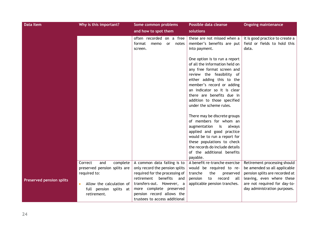| <b>Data Item</b>                | Why is this important?                                                                                                                          | Some common problems                                                                                                                                                                                                                                   | Possible data cleanse                                                                                                                                                                                                                                                                                      | <b>Ongoing maintenance</b>                                                                                                                                                                  |
|---------------------------------|-------------------------------------------------------------------------------------------------------------------------------------------------|--------------------------------------------------------------------------------------------------------------------------------------------------------------------------------------------------------------------------------------------------------|------------------------------------------------------------------------------------------------------------------------------------------------------------------------------------------------------------------------------------------------------------------------------------------------------------|---------------------------------------------------------------------------------------------------------------------------------------------------------------------------------------------|
|                                 |                                                                                                                                                 | and how to spot them                                                                                                                                                                                                                                   | solutions                                                                                                                                                                                                                                                                                                  |                                                                                                                                                                                             |
|                                 |                                                                                                                                                 | often recorded on a free<br>format<br>memo<br>or<br>notes<br>screen.                                                                                                                                                                                   | these are not missed when a<br>member's benefits are put<br>into payment.                                                                                                                                                                                                                                  | it is good practice to create a<br>field or fields to hold this<br>data.                                                                                                                    |
|                                 |                                                                                                                                                 |                                                                                                                                                                                                                                                        | One option is to run a report<br>of all the information held on<br>any free format screen and<br>review the feasibility of<br>either adding this to the<br>member's record or adding<br>an indicator so it is clear<br>there are benefits due in<br>addition to those specified<br>under the scheme rules. |                                                                                                                                                                                             |
|                                 |                                                                                                                                                 |                                                                                                                                                                                                                                                        | There may be discrete groups<br>of members for whom an<br>augmentation<br>always<br>is<br>applied and good practice<br>would be to run a report for<br>these populations to check<br>the records do include details<br>of the additional benefits<br>payable.                                              |                                                                                                                                                                                             |
| <b>Preserved pension splits</b> | and<br>Correct<br>complete<br>preserved pension splits are<br>required to:<br>Allow the calculation of<br>full pension splits at<br>retirement. | A common data failing is to<br>only record the pension splits<br>required for the processing of<br>retirement<br>benefits<br>and<br>transfers-out. However, a<br>more complete preserved<br>pension record allows the<br>trustees to access additional | A benefit re-tranche exercise<br>would be required to re-<br>the<br>tranche<br>preserved<br>pension<br>to<br>record<br>all<br>applicable pension tranches.                                                                                                                                                 | Retirement processing should<br>be amended so all applicable<br>pension splits are recorded at<br>leaving, even where these<br>are not required for day-to-<br>day administration purposes. |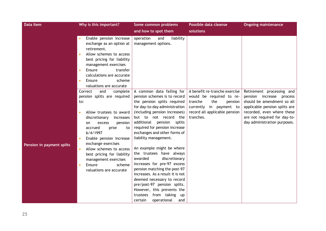| <b>Data Item</b>          | Why is this important?                                                                                                                                                                                                                                                                                                                                                      | Some common problems                                                                                                                                                                                                                                                                                                                                                                                                                                                                                                                                                                                                                                                   | Possible data cleanse                                                                                                                                           | <b>Ongoing maintenance</b>                                                                                                                                                                                            |
|---------------------------|-----------------------------------------------------------------------------------------------------------------------------------------------------------------------------------------------------------------------------------------------------------------------------------------------------------------------------------------------------------------------------|------------------------------------------------------------------------------------------------------------------------------------------------------------------------------------------------------------------------------------------------------------------------------------------------------------------------------------------------------------------------------------------------------------------------------------------------------------------------------------------------------------------------------------------------------------------------------------------------------------------------------------------------------------------------|-----------------------------------------------------------------------------------------------------------------------------------------------------------------|-----------------------------------------------------------------------------------------------------------------------------------------------------------------------------------------------------------------------|
|                           |                                                                                                                                                                                                                                                                                                                                                                             | and how to spot them                                                                                                                                                                                                                                                                                                                                                                                                                                                                                                                                                                                                                                                   | solutions                                                                                                                                                       |                                                                                                                                                                                                                       |
|                           | Enable pension increase<br>exchange as an option at<br>retirement.<br>Allow schemes to access<br>best pricing for liability<br>management exercises<br>Ensure<br>transfer<br>calculations are accurate<br>scheme<br>Ensure<br>valuations are accurate                                                                                                                       | liability<br>operation<br>and<br>management options.                                                                                                                                                                                                                                                                                                                                                                                                                                                                                                                                                                                                                   |                                                                                                                                                                 |                                                                                                                                                                                                                       |
| Pension in payment splits | Correct<br>and<br>complete<br>pension splits are required<br>to:<br>Allow trustees to award<br>discretionary<br>increases<br>pension<br>excess<br>on<br>accrued<br>prior<br>to<br>6/4/1997<br>Enable pension increase<br>exchange exercises<br>Allow schemes to access<br>best pricing for liability<br>management exercises<br>Ensure<br>scheme<br>valuations are accurate | A common data failing for<br>pension schemes is to record<br>the pension splits required<br>for day-to-day administration<br>(including pension increases)<br>but to not record the<br>additional pension splits<br>required for pension increase<br>exchanges and other forms of<br>liability management.<br>An example might be where<br>the trustees have always<br>awarded<br>discretionary<br>increases for pre-97 excess<br>pension matching the post-97<br>increases. As a result it is not<br>deemed necessary to record<br>pre/post-97 pension splits.<br>However, this prevents the<br>from taking<br>trustees<br><b>up</b><br>certain<br>operational<br>and | A benefit re-tranche exercise<br>would be required to re-<br>tranche<br>the<br>pension<br>currently in payment to<br>record all applicable pension<br>tranches. | Retirement processing and<br>pension increase<br>process<br>should be amendment so all<br>applicable pension splits are<br>recorded, even where these<br>are not required for day-to-<br>day administration purposes. |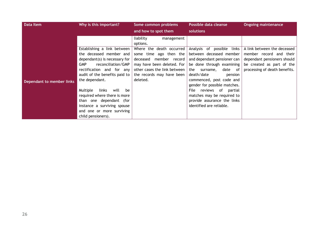| <b>Data Item</b>          | Why is this important?                                                                                                                                                                                                                                                                                                                                                                      | Some common problems                                                                                                                                                                                      | Possible data cleanse                                                                                                                                                                                                                                                                                                                                                  | <b>Ongoing maintenance</b>                                                                                                                          |
|---------------------------|---------------------------------------------------------------------------------------------------------------------------------------------------------------------------------------------------------------------------------------------------------------------------------------------------------------------------------------------------------------------------------------------|-----------------------------------------------------------------------------------------------------------------------------------------------------------------------------------------------------------|------------------------------------------------------------------------------------------------------------------------------------------------------------------------------------------------------------------------------------------------------------------------------------------------------------------------------------------------------------------------|-----------------------------------------------------------------------------------------------------------------------------------------------------|
|                           |                                                                                                                                                                                                                                                                                                                                                                                             | and how to spot them                                                                                                                                                                                      | solutions                                                                                                                                                                                                                                                                                                                                                              |                                                                                                                                                     |
|                           |                                                                                                                                                                                                                                                                                                                                                                                             | liability<br>management<br>options.                                                                                                                                                                       |                                                                                                                                                                                                                                                                                                                                                                        |                                                                                                                                                     |
| Dependant to member links | Establishing a link between<br>the deceased member and<br>dependant(s) is necessary for<br>reconciliation/GMP<br><b>GMP</b><br>rectification and for any<br>audit of the benefits paid to<br>the dependant.<br>Multiple<br>links<br>will<br>be<br>required where there is more<br>than one dependant (for<br>instance a surviving spouse<br>and one or more surviving<br>child pensioners). | Where the death occurred  <br>ago then the  <br>some time<br>member record  <br>deceased<br>may have been deleted. For $\vert$<br>other cases the link between  <br>the records may have been<br>deleted. | Analysis of possible<br>links<br>between deceased member<br>and dependant pensioner can<br>be done through examining  <br>the<br>date<br>surname,<br>of<br>death/date<br>pension<br>commenced, post code and<br>gender for possible matches.<br>reviews of<br>File<br>partial<br>matches may be required to<br>provide assurance the links<br>identified are reliable. | A link between the deceased<br>member record and their<br>dependant pensioners should<br>be created as part of the<br>processing of death benefits. |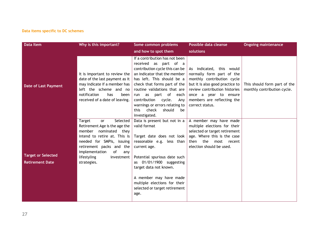#### **Data items specific to DC schemes**

| Data Item                                           | Why is this important?                                                                                                                                                                                                                                           | Some common problems                                                                                                                                                                                                                                                                                                                                                           | Possible data cleanse                                                                                                                                                                                                             | <b>Ongoing maintenance</b>                                  |
|-----------------------------------------------------|------------------------------------------------------------------------------------------------------------------------------------------------------------------------------------------------------------------------------------------------------------------|--------------------------------------------------------------------------------------------------------------------------------------------------------------------------------------------------------------------------------------------------------------------------------------------------------------------------------------------------------------------------------|-----------------------------------------------------------------------------------------------------------------------------------------------------------------------------------------------------------------------------------|-------------------------------------------------------------|
|                                                     |                                                                                                                                                                                                                                                                  | and how to spot them                                                                                                                                                                                                                                                                                                                                                           | solutions                                                                                                                                                                                                                         |                                                             |
| <b>Date of Last Payment</b>                         | It is important to review the<br>date of the last payment as it $\vert$<br>may indicate if a member has<br>left the scheme and no<br>notification<br>has<br>been<br>received of a date of leaving.                                                               | If a contribution has not been<br>received as part of a<br>contribution cycle this can be<br>an indicator that the member<br>has left. This should be a<br>check that forms part of the<br>routine validations that are<br>part of<br>as<br>each  <br>run<br>contribution<br>cycle.<br>Any<br>warnings or errors relating to<br>check<br>should<br>this<br>be<br>investigated. | As indicated, this would<br>normally form part of the<br>monthly contribution cycle<br>but it is also good practice to<br>review contribution histories<br>once a year to ensure<br>members are reflecting the<br>correct status. | This should form part of the<br>monthly contribution cycle. |
| <b>Target or Selected</b><br><b>Retirement Date</b> | Target<br>Selected<br><b>or</b><br>Retirement Age is the age the<br>member<br>nominated they<br>intend to retire at. This is<br>needed for SMPIs, issuing<br>retirement packs and the<br>implementation<br>of<br>any<br>lifestyling<br>investment<br>strategies. | Data is present but not in a<br>valid format<br>Target date does not look<br>reasonable e.g. less than<br>current age.<br>Potential spurious date such<br>as 01/01/1900 suggesting<br>target data not known.<br>A member may have made<br>multiple elections for their<br>selected or target retirement<br>age.                                                                | A member may have made<br>multiple elections for their<br>selected or target retirement<br>age. Where this is the case<br>then the<br>most recent<br>election should be used.                                                     |                                                             |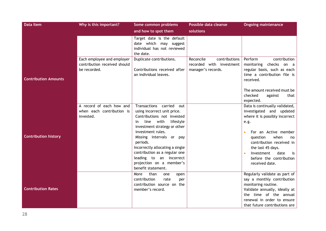| <b>Data Item</b>            | Why is this important?                                                     | Some common problems                                                                                                                                                                                       | Possible data cleanse                                                        | <b>Ongoing maintenance</b>                                                                                                                                               |
|-----------------------------|----------------------------------------------------------------------------|------------------------------------------------------------------------------------------------------------------------------------------------------------------------------------------------------------|------------------------------------------------------------------------------|--------------------------------------------------------------------------------------------------------------------------------------------------------------------------|
|                             |                                                                            | and how to spot them                                                                                                                                                                                       | solutions                                                                    |                                                                                                                                                                          |
|                             |                                                                            | Target date is the default<br>date which may suggest<br>individual has not reviewed<br>the date.                                                                                                           |                                                                              |                                                                                                                                                                          |
| <b>Contribution Amounts</b> | Each employee and employer<br>contribution received should<br>be recorded. | Duplicate contributions.<br>Contributions received after<br>an individual leaves.                                                                                                                          | Reconcile<br>contributions<br>recorded with investment<br>manager's records. | Perform<br>contribution<br>monitoring checks on a<br>regular basis, such as each<br>time a contribution file is<br>received.                                             |
|                             |                                                                            |                                                                                                                                                                                                            |                                                                              | The amount received must be<br>checked<br>against<br>that<br>expected.                                                                                                   |
|                             | A record of each how and                                                   | Transactions carried<br>out                                                                                                                                                                                |                                                                              | Data is continually validated,                                                                                                                                           |
|                             | when each contribution is                                                  | using incorrect unit price.                                                                                                                                                                                |                                                                              | investigated and updated                                                                                                                                                 |
|                             | invested.                                                                  | Contributions not invested                                                                                                                                                                                 |                                                                              | where it is possibly incorrect                                                                                                                                           |
|                             |                                                                            | with<br>lifestyle<br>line<br>in                                                                                                                                                                            |                                                                              | e.g.                                                                                                                                                                     |
|                             |                                                                            | investment strategy or other                                                                                                                                                                               |                                                                              |                                                                                                                                                                          |
| <b>Contribution history</b> |                                                                            | investment rules.<br>Missing intervals or pay<br>periods.<br>Incorrectly allocating a single<br>contribution as a regular one<br>leading to an incorrect<br>projection on a member's<br>benefit statement. |                                                                              | For an Active member<br>question<br>when<br>no<br>contribution received in<br>the last 45 days.<br>date<br>Investment<br>is<br>before the contribution<br>received date. |
|                             |                                                                            | than<br>More<br>one<br>open                                                                                                                                                                                |                                                                              | Regularly validate as part of                                                                                                                                            |
|                             |                                                                            | contribution<br>rate<br>per                                                                                                                                                                                |                                                                              | say a monthly contribution                                                                                                                                               |
| <b>Contribution Rates</b>   |                                                                            | contribution source on the<br>member's record.                                                                                                                                                             |                                                                              | monitoring routine.                                                                                                                                                      |
|                             |                                                                            |                                                                                                                                                                                                            |                                                                              | Validate annually, ideally at                                                                                                                                            |
|                             |                                                                            |                                                                                                                                                                                                            |                                                                              |                                                                                                                                                                          |
|                             |                                                                            |                                                                                                                                                                                                            |                                                                              |                                                                                                                                                                          |
|                             |                                                                            |                                                                                                                                                                                                            |                                                                              | the time of the annual<br>renewal in order to ensure<br>that future contributions are                                                                                    |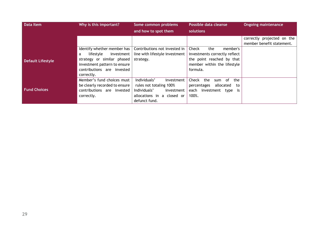| <b>Data Item</b>         | Why is this important?          | Some common problems           | Possible data cleanse              | <b>Ongoing maintenance</b> |
|--------------------------|---------------------------------|--------------------------------|------------------------------------|----------------------------|
|                          |                                 | and how to spot them           | solutions                          |                            |
|                          |                                 |                                |                                    | correctly projected on the |
|                          |                                 |                                |                                    | member benefit statement.  |
|                          | Identify whether member has $ $ | Contributions not invested in  | Check<br>the<br>member's           |                            |
|                          | lifestyle<br>investment  <br>a  | line with lifestyle investment | investments correctly reflect      |                            |
| <b>Default Lifestyle</b> | strategy or similar phased      | strategy.                      | the point reached by that          |                            |
|                          | investment pattern to ensure    |                                | member within the lifestyle        |                            |
|                          | contributions are invested      |                                | formula.                           |                            |
|                          | correctly.                      |                                |                                    |                            |
|                          | Member's fund choices must      | Individuals'<br>investment     | the<br>the<br>Check<br>. of<br>sum |                            |
|                          | be clearly recorded to ensure   | rules not totaling 100%        | allocated<br>percentages<br>to     |                            |
| <b>Fund Choices</b>      | contributions are invested      | Individuals'<br>investment     | investment type is<br>each         |                            |
|                          | correctly.                      | allocations in a closed or     | 100%.                              |                            |
|                          |                                 | defunct fund.                  |                                    |                            |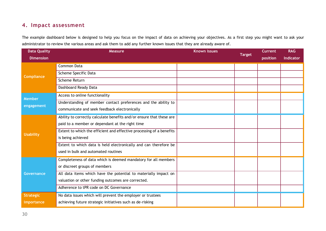## **4. Impact assessment**

The example dashboard below is designed to help you focus on the impact of data on achieving your objectives. As a first step you might want to ask your administrator to review the various areas and ask them to add any further known issues that they are already aware of.

| <b>Data Quality</b>  | <b>Measure</b>                                                       | <b>Known issues</b> | <b>Target</b> | <b>Current</b> | <b>RAG</b>       |
|----------------------|----------------------------------------------------------------------|---------------------|---------------|----------------|------------------|
| <b>Dimension</b>     |                                                                      |                     |               | position       | <b>Indicator</b> |
| <b>Compliance</b>    | <b>Common Data</b>                                                   |                     |               |                |                  |
|                      | Scheme Specific Data                                                 |                     |               |                |                  |
|                      | Scheme Return                                                        |                     |               |                |                  |
|                      | Dashboard Ready Data                                                 |                     |               |                |                  |
| Member<br>engagement | Access to online functionality                                       |                     |               |                |                  |
|                      | Understanding of member contact preferences and the ability to       |                     |               |                |                  |
|                      | communicate and seek feedback electronically                         |                     |               |                |                  |
|                      | Ability to correctly calculate benefits and/or ensure that these are |                     |               |                |                  |
| <b>Usability</b>     | paid to a member or dependant at the right time                      |                     |               |                |                  |
|                      | Extent to which the efficient and effective processing of a benefits |                     |               |                |                  |
|                      | is being achieved                                                    |                     |               |                |                  |
|                      | Extent to which data is held electronically and can therefore be     |                     |               |                |                  |
|                      | used in bulk and automated routines                                  |                     |               |                |                  |
| Governance           | Completeness of data which is deemed mandatory for all members       |                     |               |                |                  |
|                      | or discreet groups of members                                        |                     |               |                |                  |
|                      | All data items which have the potential to materially impact on      |                     |               |                |                  |
|                      | valuation or other funding outcomes are corrected.                   |                     |               |                |                  |
|                      | Adherence to tPR code on DC Governance                               |                     |               |                |                  |
| <b>Strategic</b>     | No data issues which will prevent the employer or trustees           |                     |               |                |                  |
| importance           | achieving future strategic initiatives such as de-risking            |                     |               |                |                  |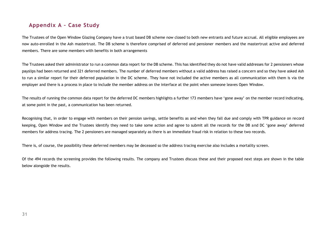## **Appendix A – Case Study**

The Trustees of the Open Window Glazing Company have a trust based DB scheme now closed to both new entrants and future accrual. All eligible employees are now auto-enrolled in the Ash mastertrust. The DB scheme is therefore comprised of deferred and pensioner members and the mastertrust active and deferred members. There are some members with benefits in both arrangements

The Trustees asked their administrator to run a common data report for the DB scheme. This has identified they do not have valid addresses for 2 pensioners whose payslips had been returned and 321 deferred members. The number of deferred members without a valid address has raised a concern and so they have asked Ash to run a similar report for their deferred population in the DC scheme. They have not included the active members as all communication with them is via the employer and there is a process in place to include the member address on the interface at the point when someone leaves Open Window.

The results of running the common data report for the deferred DC members highlights a further 173 members have 'gone away' on the member record indicating, at some point in the past, a communication has been returned.

Recognising that, in order to engage with members on their pension savings, settle benefits as and when they fall due and comply with TPR guidance on record keeping, Open Window and the Trustees identify they need to take some action and agree to submit all the records for the DB and DC 'gone away' deferred members for address tracing. The 2 pensioners are managed separately as there is an immediate fraud risk in relation to these two records.

There is, of course, the possibility these deferred members may be deceased so the address tracing exercise also includes a mortality screen.

Of the 494 records the screening provides the following results. The company and Trustees discuss these and their proposed next steps are shown in the table below alongside the results.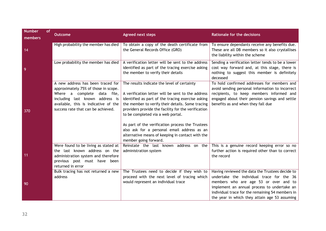| <b>Number</b><br>members | of<br><b>Outcome</b>                                                                                                                                                                                                         | <b>Agreed next steps</b>                                                                                                                                                                                                                                                                                                                                                                                                                                                              | <b>Rationale for the decisions</b>                                                                                                                                                                                                                                                        |
|--------------------------|------------------------------------------------------------------------------------------------------------------------------------------------------------------------------------------------------------------------------|---------------------------------------------------------------------------------------------------------------------------------------------------------------------------------------------------------------------------------------------------------------------------------------------------------------------------------------------------------------------------------------------------------------------------------------------------------------------------------------|-------------------------------------------------------------------------------------------------------------------------------------------------------------------------------------------------------------------------------------------------------------------------------------------|
| 14                       | High probability the member has died                                                                                                                                                                                         | To obtain a copy of the death certificate from<br>the General Records Office (GRO)                                                                                                                                                                                                                                                                                                                                                                                                    | To ensure dependants receive any benefits due.<br>These are all DB members so it also crystallises<br>the liability within the scheme                                                                                                                                                     |
| $\overline{9}$           | Low probability the member has died                                                                                                                                                                                          | A verification letter will be sent to the address<br>identified as part of the tracing exercise asking<br>the member to verify their details                                                                                                                                                                                                                                                                                                                                          | Sending a verification letter tends to be a lower<br>cost way forward and, at this stage, there is<br>nothing to suggest this member is definitely<br>deceased                                                                                                                            |
| 370                      | A new address has been traced for<br>approximately 75% of those in scope.<br>Where a complete<br>data file,<br>including last known address is<br>available, this is indicative of the<br>success rate that can be achieved. | The results indicate the level of certainty<br>A verification letter will be sent to the address<br>identified as part of the tracing exercise asking<br>the member to verify their details. Some tracing<br>providers provide the facility for the verification<br>to be completed via a web portal.<br>As part of the verification process the Trustees<br>also ask for a personal email address as an<br>alternative means of keeping in contact with the<br>member going forward. | To hold confirmed addresses for members and<br>avoid sending personal information to incorrect<br>recipients, to keep members informed and<br>engaged about their pension savings and settle<br>benefits as and when they fall due                                                        |
| $-11$                    | Were found to be living as stated at<br>the last known address on the<br>administration system and therefore<br>previous post must have been<br>returned in error                                                            | Reinstate the last known address on the<br>administration system                                                                                                                                                                                                                                                                                                                                                                                                                      | This is a genuine record keeping error so no<br>further action is required other than to correct<br>the record                                                                                                                                                                            |
| 90                       | Bulk tracing has not returned a new<br>address                                                                                                                                                                               | The Trustees need to decide if they wish to<br>proceed with the next level of tracing which<br>would represent an individual trace                                                                                                                                                                                                                                                                                                                                                    | Having reviewed the data the Trustees decide to<br>undertake the individual trace for the 36<br>members who are age 53 or over and to<br>implement an annual process to undertake an<br>individual trace for the remaining 54 members in<br>the year in which they attain age 53 assuming |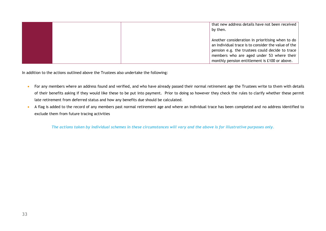| that new address details have not been received<br>by then.                                                                                                                                                                                              |
|----------------------------------------------------------------------------------------------------------------------------------------------------------------------------------------------------------------------------------------------------------|
| Another consideration in prioritising when to do<br>an individual trace is to consider the value of the<br>pension e.g. the trustees could decide to trace<br>members who are aged under 53 where their<br>monthly pension entitlement is £100 or above. |

In addition to the actions outlined above the Trustees also undertake the following:

- For any members where an address found and verified, and who have already passed their normal retirement age the Trustees write to them with details of their benefits asking if they would like these to be put into payment. Prior to doing so however they check the rules to clarify whether these permit late retirement from deferred status and how any benefits due should be calculated.
- A flag is added to the record of any members past normal retirement age and where an individual trace has been completed and no address identified to exclude them from future tracing activities

*The actions taken by individual schemes in these circumstances will vary and the above is for illustrative purposes only.*